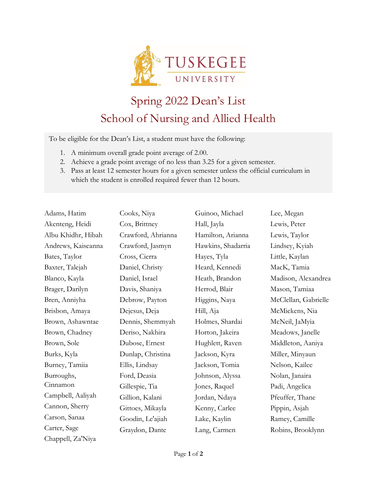

## Spring 2022 Dean's List School of Nursing and Allied Health

To be eligible for the Dean's List, a student must have the following:

- 1. A minimum overall grade point average of 2.00.
- 2. Achieve a grade point average of no less than 3.25 for a given semester.
- 3. Pass at least 12 semester hours for a given semester unless the official curriculum in which the student is enrolled required fewer than 12 hours.

| Adams, Hatim       | Cooks, Niya        | Guinoo, Michael    | Lee, Megan           |
|--------------------|--------------------|--------------------|----------------------|
| Akenteng, Heidi    | Cox, Brittney      | Hall, Jayla        | Lewis, Peter         |
| Albu Khidhr, Hibah | Crawford, Ahrianna | Hamilton, Arianna  | Lewis, Taylor        |
| Andrews, Kaiseanna | Crawford, Jasmyn   | Hawkins, Shadarria | Lindsey, Kyiah       |
| Bates, Taylor      | Cross, Cierra      | Hayes, Tyla        | Little, Kaylan       |
| Baxter, Talejah    | Daniel, Christy    | Heard, Kennedi     | MacK, Tamia          |
| Blanco, Kayla      | Daniel, Israel     | Heath, Brandon     | Madison, Alexandrea  |
| Brager, Darilyn    | Davis, Shaniya     | Herrod, Blair      | Mason, Tamiaa        |
| Bren, Anniyha      | Debrow, Payton     | Higgins, Naya      | McClellan, Gabrielle |
| Brisbon, Amaya     | Dejesus, Deja      | Hill, Aja          | McMickens, Nia       |
| Brown, Ashawntae   | Dennis, Shemmyah   | Holmes, Shardai    | McNeil, JaMyia       |
| Brown, Chadney     | Deriso, Nakhira    | Horton, Jakeira    | Meadows, Janelle     |
| Brown, Sole        | Dubose, Ernest     | Hughlett, Raven    | Middleton, Aaniya    |
| Burks, Kyla        | Dunlap, Christina  | Jackson, Kyra      | Miller, Minyaun      |
| Burney, Tamiia     | Ellis, Lindsay     | Jackson, Tomia     | Nelson, Kailee       |
| Burroughs,         | Ford, Deasia       | Johnson, Alyssa    | Nolan, Janaira       |
| Cinnamon           | Gillespie, Tia     | Jones, Raquel      | Padi, Angelica       |
| Campbell, Aaliyah  | Gillion, Kalani    | Jordan, Ndaya      | Pfeuffer, Thane      |
| Cannon, Sherry     | Gittoes, Mikayla   | Kenny, Carlee      | Pippin, Asjah        |
| Carson, Sanaa      | Goodin, Le'ajiah   | Lake, Kaylin       | Ramey, Camille       |
| Carter, Sage       | Graydon, Dante     | Lang, Carmen       | Robins, Brooklynn    |
| Chappell, Za'Niya  |                    |                    |                      |